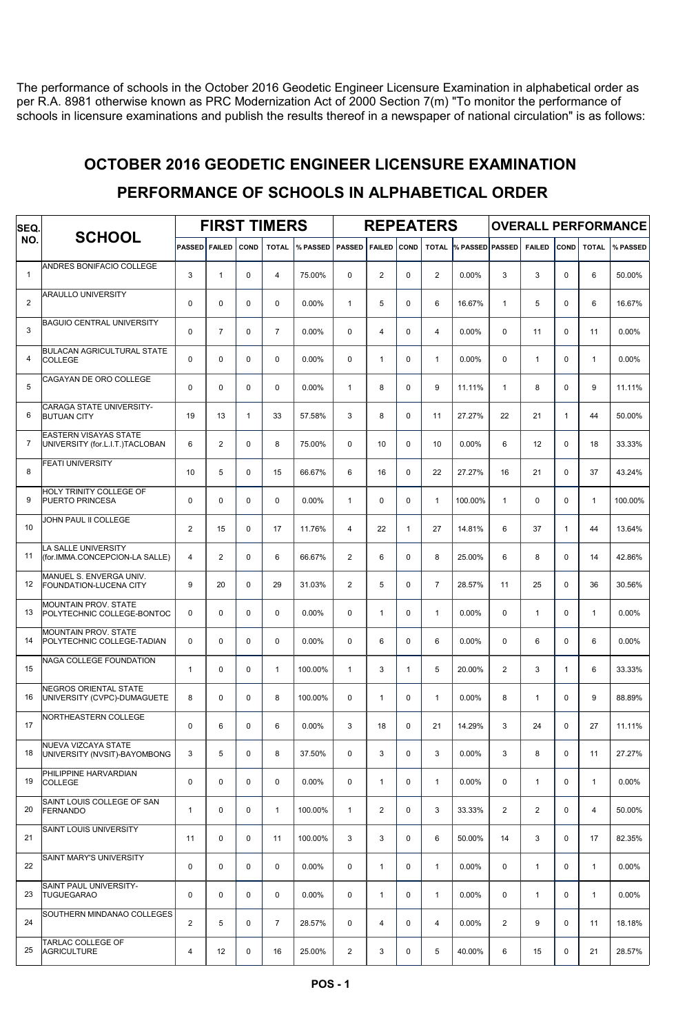The performance of schools in the October 2016 Geodetic Engineer Licensure Examination in alphabetical order as per R.A. 8981 otherwise known as PRC Modernization Act of 2000 Section 7(m) "To monitor the performance of schools in licensure examinations and publish the results thereof in a newspaper of national circulation" is as follows:

## OCTOBER 2016 GEODETIC ENGINEER LICENSURE EXAMINATION

| SEQ.<br>NO.    | <b>SCHOOL</b>                                                   | <b>FIRST TIMERS</b> |                |              |                |          | <b>REPEATERS</b> |                |              |                |                       | <b>OVERALL PERFORMANCE</b> |                |              |              |          |
|----------------|-----------------------------------------------------------------|---------------------|----------------|--------------|----------------|----------|------------------|----------------|--------------|----------------|-----------------------|----------------------------|----------------|--------------|--------------|----------|
|                |                                                                 | <b>PASSED</b>       | <b>FAILED</b>  | <b>COND</b>  | <b>TOTAL</b>   | % PASSED | <b>PASSED</b>    | <b>FAILED</b>  | COND         |                | TOTAL % PASSED PASSED |                            | <b>FAILED</b>  | <b>COND</b>  | <b>TOTAL</b> | % PASSED |
| $\mathbf{1}$   | ANDRES BONIFACIO COLLEGE                                        | 3                   | $\mathbf{1}$   | $\mathbf 0$  | $\overline{4}$ | 75.00%   | $\mathbf 0$      | $\overline{c}$ | 0            | $\overline{2}$ | 0.00%                 | 3                          | 3              | 0            | 6            | 50.00%   |
| $\overline{2}$ | <b>ARAULLO UNIVERSITY</b>                                       | $\mathbf 0$         | 0              | $\Omega$     | $\Omega$       | 0.00%    | $\mathbf{1}$     | 5              | 0            | 6              | 16.67%                | $\mathbf{1}$               | 5              | $\Omega$     | 6            | 16.67%   |
| 3              | <b>BAGUIO CENTRAL UNIVERSITY</b>                                | $\mathbf 0$         | $\overline{7}$ | $\Omega$     | $\overline{7}$ | 0.00%    | $\Omega$         | 4              | 0            | 4              | 0.00%                 | $\mathbf 0$                | 11             | $\Omega$     | 11           | 0.00%    |
| 4              | <b>BULACAN AGRICULTURAL STATE</b><br><b>COLLEGE</b>             | $\mathbf 0$         | $\Omega$       | $\Omega$     | $\Omega$       | 0.00%    | $\Omega$         | $\mathbf{1}$   | 0            | $\mathbf{1}$   | 0.00%                 | $\mathbf 0$                | $\mathbf{1}$   | $\Omega$     | $\mathbf{1}$ | 0.00%    |
| 5              | CAGAYAN DE ORO COLLEGE                                          | $\mathbf 0$         | 0              | $\mathbf 0$  | $\mathbf 0$    | 0.00%    | $\mathbf{1}$     | 8              | 0            | 9              | 11.11%                | $\mathbf{1}$               | 8              | 0            | 9            | 11.11%   |
| 6              | <b>CARAGA STATE UNIVERSITY-</b><br><b>BUTUAN CITY</b>           | 19                  | 13             | $\mathbf{1}$ | 33             | 57.58%   | 3                | 8              | 0            | 11             | 27.27%                | 22                         | 21             | $\mathbf{1}$ | 44           | 50.00%   |
| 7              | <b>EASTERN VISAYAS STATE</b><br>UNIVERSITY (for.L.I.T.)TACLOBAN | 6                   | $\overline{2}$ | $\mathbf 0$  | 8              | 75.00%   | $\Omega$         | 10             | 0            | 10             | 0.00%                 | 6                          | 12             | 0            | 18           | 33.33%   |
| 8              | <b>FEATI UNIVERSITY</b>                                         | 10                  | 5              | $\mathbf 0$  | 15             | 66.67%   | 6                | 16             | 0            | 22             | 27.27%                | 16                         | 21             | $\Omega$     | 37           | 43.24%   |
| 9              | HOLY TRINITY COLLEGE OF<br>PUERTO PRINCESA                      | 0                   | 0              | $\mathbf 0$  | $\mathbf 0$    | 0.00%    | $\mathbf{1}$     | 0              | 0            | $\mathbf{1}$   | 100.00%               | $\mathbf{1}$               | $\mathbf 0$    | 0            | $\mathbf{1}$ | 100.00%  |
| 10             | JOHN PAUL II COLLEGE                                            | $\overline{2}$      | 15             | $\Omega$     | 17             | 11.76%   | $\overline{4}$   | 22             | $\mathbf{1}$ | 27             | 14.81%                | 6                          | 37             | $\mathbf{1}$ | 44           | 13.64%   |
| 11             | LA SALLE UNIVERSITY<br>(for.IMMA.CONCEPCION-LA SALLE)           | $\overline{4}$      | $\overline{2}$ | $\Omega$     | 6              | 66.67%   | $\overline{2}$   | 6              | 0            | 8              | 25.00%                | 6                          | 8              | $\Omega$     | 14           | 42.86%   |
| 12             | MANUEL S. ENVERGA UNIV.<br>FOUNDATION-LUCENA CITY               | 9                   | 20             | $\Omega$     | 29             | 31.03%   | 2                | 5              | 0            | $\overline{7}$ | 28.57%                | 11                         | 25             | $\Omega$     | 36           | 30.56%   |
| 13             | <b>MOUNTAIN PROV. STATE</b><br>POLYTECHNIC COLLEGE-BONTOC       | 0                   | $\mathbf 0$    | $\mathbf 0$  | $\mathbf 0$    | 0.00%    | $\mathbf 0$      | $\mathbf{1}$   | 0            | $\mathbf{1}$   | 0.00%                 | $\mathbf 0$                | $\mathbf{1}$   | 0            | $\mathbf{1}$ | 0.00%    |
| 14             | <b>MOUNTAIN PROV. STATE</b><br>POLYTECHNIC COLLEGE-TADIAN       | $\mathbf 0$         | 0              | $\mathbf 0$  | $\mathbf 0$    | 0.00%    | $\Omega$         | 6              | 0            | 6              | 0.00%                 | $\mathbf 0$                | 6              | 0            | 6            | 0.00%    |
| 15             | NAGA COLLEGE FOUNDATION                                         | $\mathbf{1}$        | $\mathbf 0$    | $\mathbf 0$  | $\mathbf{1}$   | 100.00%  | $\mathbf{1}$     | 3              | $\mathbf{1}$ | 5              | 20.00%                | $\overline{2}$             | 3              | $\mathbf{1}$ | 6            | 33.33%   |
| 16             | <b>NEGROS ORIENTAL STATE</b><br>UNIVERSITY (CVPC)-DUMAGUETE     | 8                   | $\Omega$       | $\Omega$     | 8              | 100.00%  | $\Omega$         | $\mathbf{1}$   | 0            | $\mathbf{1}$   | 0.00%                 | 8                          | $\mathbf{1}$   | $\Omega$     | 9            | 88.89%   |
| 17             | NORTHEASTERN COLLEGE                                            | 0                   | 6              | 0            | 6              | 0.00%    | 3                | 18             | 0            | 21             | 14.29%                | 3                          | 24             | $\mathbf 0$  | 27           | 11.11%   |
| 18             | NUEVA VIZCAYA STATE<br>UNIVERSITY (NVSIT)-BAYOMBONG             | 3                   | 5              | $\mathbf 0$  | 8              | 37.50%   | $\mathbf 0$      | 3              | 0            | 3              | 0.00%                 | 3                          | 8              | 0            | 11           | 27.27%   |
| 19             | PHILIPPINE HARVARDIAN<br><b>COLLEGE</b>                         | 0                   | 0              | $\mathbf 0$  | $\mathbf 0$    | $0.00\%$ | $\mathbf 0$      | $\mathbf{1}$   | 0            | $\mathbf{1}$   | 0.00%                 | $\mathbf 0$                | $\mathbf{1}$   | 0            | $\mathbf{1}$ | $0.00\%$ |
| 20             | SAINT LOUIS COLLEGE OF SAN<br>FERNANDO                          | $\mathbf{1}$        | 0              | $\mathbf 0$  | $\mathbf{1}$   | 100.00%  | $\mathbf{1}$     | $\overline{2}$ | 0            | 3              | 33.33%                | 2                          | $\overline{2}$ | $\mathbf 0$  | 4            | 50.00%   |
| 21             | SAINT LOUIS UNIVERSITY                                          | 11                  | 0              | 0            | 11             | 100.00%  | 3                | 3              | 0            | 6              | 50.00%                | 14                         | 3              | $\mathbf 0$  | 17           | 82.35%   |
| 22             | SAINT MARY'S UNIVERSITY                                         | 0                   | 0              | $\mathbf 0$  | $\mathbf 0$    | 0.00%    | $\mathbf 0$      | $\mathbf{1}$   | 0            | $\mathbf{1}$   | 0.00%                 | $\mathbf 0$                | $\mathbf{1}$   | $\mathbf 0$  | $\mathbf{1}$ | 0.00%    |
| 23             | SAINT PAUL UNIVERSITY-<br><b>TUGUEGARAO</b>                     | 0                   | $\mathbf 0$    | $\mathbf 0$  | $\mathbf 0$    | $0.00\%$ | $\mathbf 0$      | $\mathbf{1}$   | 0            | $\mathbf{1}$   | 0.00%                 | 0                          | $\mathbf{1}$   | $\mathbf 0$  | $\mathbf{1}$ | 0.00%    |
| 24             | SOUTHERN MINDANAO COLLEGES                                      | $\overline{2}$      | 5              | $\mathbf 0$  | $\overline{7}$ | 28.57%   | $\mathbf 0$      | $\overline{4}$ | 0            | 4              | $0.00\%$              | $\overline{a}$             | 9              | $\mathbf 0$  | 11           | 18.18%   |
| 25             | TARLAC COLLEGE OF<br><b>AGRICULTURE</b>                         | 4                   | 12             | $\pmb{0}$    | 16             | 25.00%   | $\overline{2}$   | 3              | 0            | 5              | 40.00%                | 6                          | 15             | 0            | 21           | 28.57%   |

## PERFORMANCE OF SCHOOLS IN ALPHABETICAL ORDER